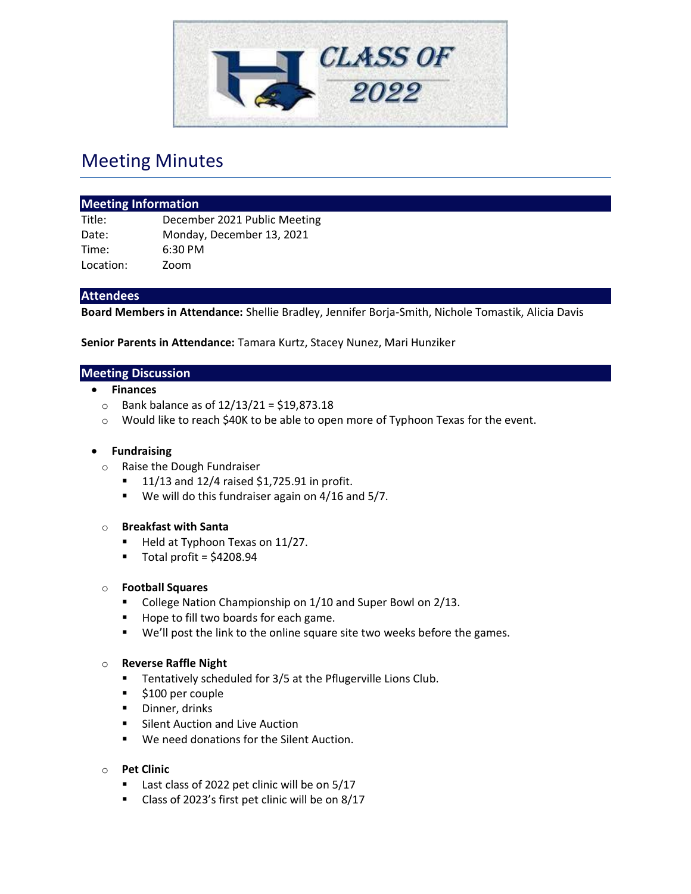

# Meeting Minutes

| <b>Meeting Information</b> |                              |
|----------------------------|------------------------------|
| Title:                     | December 2021 Public Meeting |
| Date:                      | Monday, December 13, 2021    |
| Time:                      | $6:30$ PM                    |
| Location:                  | Zoom                         |

## **Attendees**

**Board Members in Attendance:** Shellie Bradley, Jennifer Borja-Smith, Nichole Tomastik, Alicia Davis

**Senior Parents in Attendance:** Tamara Kurtz, Stacey Nunez, Mari Hunziker

#### **Meeting Discussion**

- **Finances**
	- $\circ$  Bank balance as of 12/13/21 = \$19,873.18
	- o Would like to reach \$40K to be able to open more of Typhoon Texas for the event.

#### • **Fundraising**

- o Raise the Dough Fundraiser
	- $\blacksquare$  11/13 and 12/4 raised \$1,725.91 in profit.
	- We will do this fundraiser again on 4/16 and 5/7.

#### o **Breakfast with Santa**

- Held at Typhoon Texas on 11/27.
- $\blacksquare$  Total profit = \$4208.94

#### o **Football Squares**

- College Nation Championship on 1/10 and Super Bowl on 2/13.
- Hope to fill two boards for each game.
- We'll post the link to the online square site two weeks before the games.

#### o **Reverse Raffle Night**

- Tentatively scheduled for 3/5 at the Pflugerville Lions Club.
- \$100 per couple
- Dinner, drinks
- Silent Auction and Live Auction
- We need donations for the Silent Auction.
- o **Pet Clinic**
	- Last class of 2022 pet clinic will be on 5/17
	- Class of 2023's first pet clinic will be on 8/17